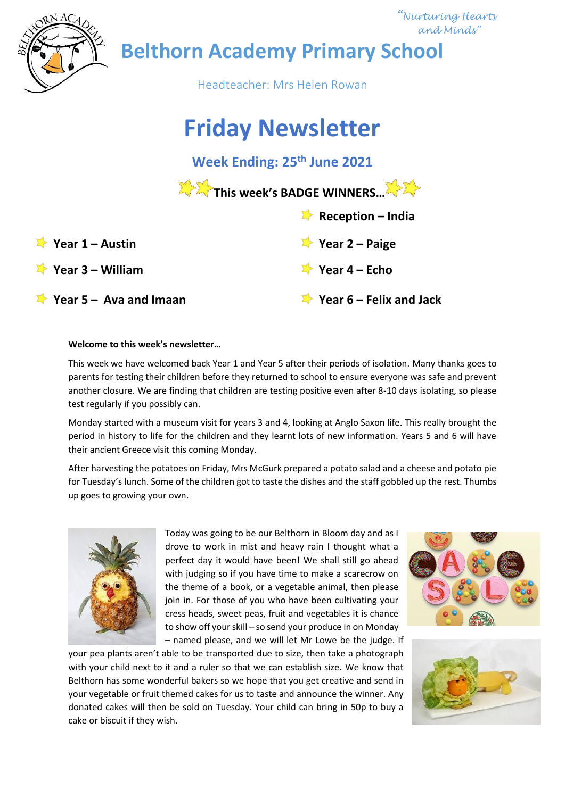

 *"Nurturing Hearts and Minds"*

**Belthorn Academy Primary School**

Headteacher: Mrs Helen Rowan

# **Friday Newsletter**

**Week Ending: 25th June 2021**

|                                              | This week's BADGE WINNERS.                    |
|----------------------------------------------|-----------------------------------------------|
|                                              | Reception – India                             |
| Year $1 -$ Austin                            | $\blacktriangleright$ Year 2 – Paige          |
| $\blacktriangleright$ Year 3 – William       | $\blacktriangleright$ Year 4 – Echo           |
| $\blacktriangleright$ Year 5 – Ava and Imaan | $\blacktriangleright$ Year 6 – Felix and Jack |

## **Welcome to this week's newsletter…**

This week we have welcomed back Year 1 and Year 5 after their periods of isolation. Many thanks goes to parents for testing their children before they returned to school to ensure everyone was safe and prevent another closure. We are finding that children are testing positive even after 8-10 days isolating, so please test regularly if you possibly can.

Monday started with a museum visit for years 3 and 4, looking at Anglo Saxon life. This really brought the period in history to life for the children and they learnt lots of new information. Years 5 and 6 will have their ancient Greece visit this coming Monday.

After harvesting the potatoes on Friday, Mrs McGurk prepared a potato salad and a cheese and potato pie for Tuesday's lunch. Some of the children got to taste the dishes and the staff gobbled up the rest. Thumbs up goes to growing your own.



Today was going to be our Belthorn in Bloom day and as I drove to work in mist and heavy rain I thought what a perfect day it would have been! We shall still go ahead with judging so if you have time to make a scarecrow on the theme of a book, or a vegetable animal, then please join in. For those of you who have been cultivating your cress heads, sweet peas, fruit and vegetables it is chance to show off your skill – so send your produce in on Monday – named please, and we will let Mr Lowe be the judge. If

your pea plants aren't able to be transported due to size, then take a photograph with your child next to it and a ruler so that we can establish size. We know that Belthorn has some wonderful bakers so we hope that you get creative and send in your vegetable or fruit themed cakes for us to taste and announce the winner. Any donated cakes will then be sold on Tuesday. Your child can bring in 50p to buy a cake or biscuit if they wish.



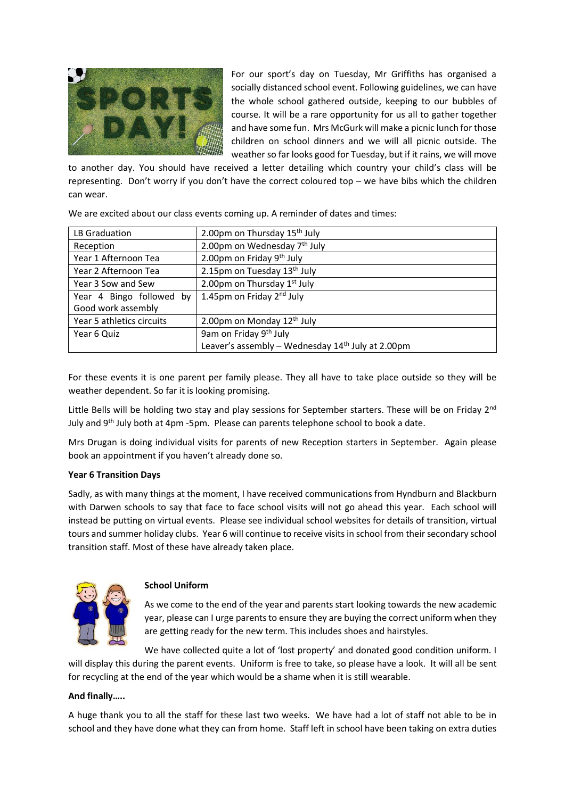

For our sport's day on Tuesday, Mr Griffiths has organised a socially distanced school event. Following guidelines, we can have the whole school gathered outside, keeping to our bubbles of course. It will be a rare opportunity for us all to gather together and have some fun. Mrs McGurk will make a picnic lunch for those children on school dinners and we will all picnic outside. The weather so far looks good for Tuesday, but if it rains, we will move

to another day. You should have received a letter detailing which country your child's class will be representing. Don't worry if you don't have the correct coloured top – we have bibs which the children can wear.

| LB Graduation             | 2.00pm on Thursday 15 <sup>th</sup> July            |
|---------------------------|-----------------------------------------------------|
| Reception                 | 2.00pm on Wednesday 7 <sup>th</sup> July            |
| Year 1 Afternoon Tea      | 2.00pm on Friday 9 <sup>th</sup> July               |
| Year 2 Afternoon Tea      | 2.15pm on Tuesday 13 <sup>th</sup> July             |
| Year 3 Sow and Sew        | 2.00pm on Thursday 1st July                         |
| Year 4 Bingo followed by  | 1.45pm on Friday 2 <sup>nd</sup> July               |
| Good work assembly        |                                                     |
| Year 5 athletics circuits | 2.00pm on Monday 12th July                          |
| Year 6 Quiz               | 9am on Friday 9th July                              |
|                           | Leaver's assembly - Wednesday $14th$ July at 2.00pm |

We are excited about our class events coming up. A reminder of dates and times:

For these events it is one parent per family please. They all have to take place outside so they will be weather dependent. So far it is looking promising.

Little Bells will be holding two stay and play sessions for September starters. These will be on Friday  $2<sup>nd</sup>$ July and 9<sup>th</sup> July both at 4pm -5pm. Please can parents telephone school to book a date.

Mrs Drugan is doing individual visits for parents of new Reception starters in September. Again please book an appointment if you haven't already done so.

## **Year 6 Transition Days**

Sadly, as with many things at the moment, I have received communications from Hyndburn and Blackburn with Darwen schools to say that face to face school visits will not go ahead this year. Each school will instead be putting on virtual events. Please see individual school websites for details of transition, virtual tours and summer holiday clubs. Year 6 will continue to receive visits in school from their secondary school transition staff. Most of these have already taken place.



## **School Uniform**

As we come to the end of the year and parents start looking towards the new academic year, please can I urge parents to ensure they are buying the correct uniform when they are getting ready for the new term. This includes shoes and hairstyles.

We have collected quite a lot of 'lost property' and donated good condition uniform. I will display this during the parent events. Uniform is free to take, so please have a look. It will all be sent for recycling at the end of the year which would be a shame when it is still wearable.

## **And finally…..**

A huge thank you to all the staff for these last two weeks. We have had a lot of staff not able to be in school and they have done what they can from home. Staff left in school have been taking on extra duties